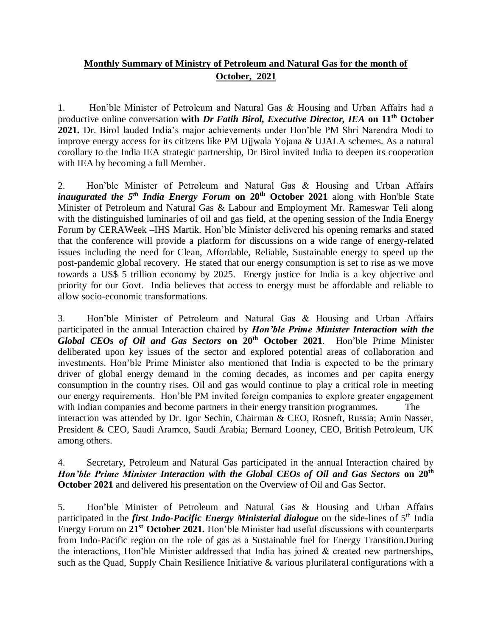## **Monthly Summary of Ministry of Petroleum and Natural Gas for the month of October, 2021**

1. Hon'ble Minister of Petroleum and Natural Gas & Housing and Urban Affairs had a productive online conversation **with** *Dr Fatih Birol, Executive Director, IEA* **on 11th October 2021.** Dr. Birol lauded India's major achievements under Hon'ble PM Shri Narendra Modi to improve energy access for its citizens like PM Ujjwala Yojana & UJALA schemes. As a natural corollary to the India IEA strategic partnership, Dr Birol invited India to deepen its cooperation with IEA by becoming a full Member.

2. Hon'ble Minister of Petroleum and Natural Gas & Housing and Urban Affairs *inaugurated the 5th India Energy Forum* **on 20th October 2021** along with Hon'ble State Minister of Petroleum and Natural Gas & Labour and Employment Mr. Rameswar Teli along with the distinguished luminaries of oil and gas field, at the opening session of the India Energy Forum by CERAWeek –IHS Martik. Hon'ble Minister delivered his opening remarks and stated that the conference will provide a platform for discussions on a wide range of energy-related issues including the need for Clean, Affordable, Reliable, Sustainable energy to speed up the post-pandemic global recovery. He stated that our energy consumption is set to rise as we move towards a US\$ 5 trillion economy by 2025. Energy justice for India is a key objective and priority for our Govt. India believes that access to energy must be affordable and reliable to allow socio-economic transformations.

3. Hon'ble Minister of Petroleum and Natural Gas & Housing and Urban Affairs participated in the annual Interaction chaired by *Hon'ble Prime Minister Interaction with the Global CEOs of Oil and Gas Sectors* **on 20th October 2021**. Hon'ble Prime Minister deliberated upon key issues of the sector and explored potential areas of collaboration and investments. Hon'ble Prime Minister also mentioned that India is expected to be the primary driver of global energy demand in the coming decades, as incomes and per capita energy consumption in the country rises. Oil and gas would continue to play a critical role in meeting our energy requirements. Hon'ble PM invited foreign companies to explore greater engagement with Indian companies and become partners in their energy transition programmes. The interaction was attended by Dr. Igor Sechin, Chairman & CEO, Rosneft, Russia; Amin Nasser, President & CEO, Saudi Aramco, Saudi Arabia; Bernard Looney, CEO, British Petroleum, UK among others.

## 4. Secretary, Petroleum and Natural Gas participated in the annual Interaction chaired by *Hon'ble Prime Minister Interaction with the Global CEOs of Oil and Gas Sectors* **on 20th October 2021** and delivered his presentation on the Overview of Oil and Gas Sector.

5. Hon'ble Minister of Petroleum and Natural Gas & Housing and Urban Affairs participated in the *first Indo-Pacific Energy Ministerial dialogue* on the side-lines of 5<sup>th</sup> India Energy Forum on **21st October 2021.** Hon'ble Minister had useful discussions with counterparts from Indo-Pacific region on the role of gas as a Sustainable fuel for Energy Transition.During the interactions, Hon'ble Minister addressed that India has joined & created new partnerships, such as the Quad, Supply Chain Resilience Initiative & various plurilateral configurations with a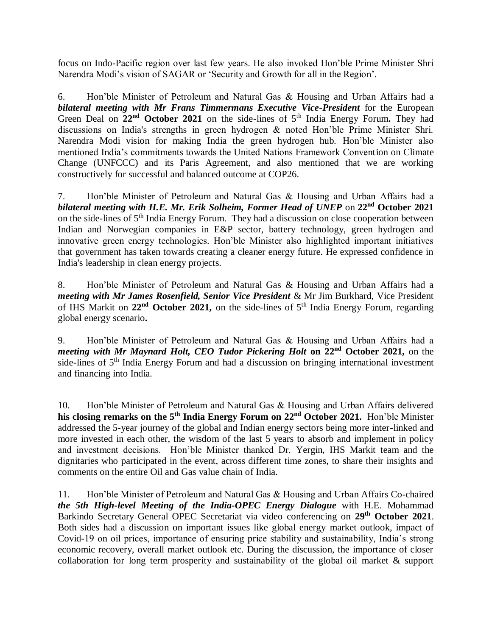focus on Indo-Pacific region over last few years. He also invoked Hon'ble Prime Minister Shri Narendra Modi's vision of SAGAR or 'Security and Growth for all in the Region'.

6. Hon'ble Minister of Petroleum and Natural Gas & Housing and Urban Affairs had a *bilateral meeting with Mr Frans Timmermans Executive Vice-President* for the European Green Deal on  $22<sup>nd</sup>$  October 2021 on the side-lines of 5<sup>th</sup> India Energy Forum. They had discussions on India's strengths in green hydrogen & noted Hon'ble Prime Minister Shri. Narendra Modi vision for making India the green hydrogen hub. Hon'ble Minister also mentioned India's commitments towards the United Nations Framework Convention on Climate Change (UNFCCC) and its Paris Agreement, and also mentioned that we are working constructively for successful and balanced outcome at COP26.

7. Hon'ble Minister of Petroleum and Natural Gas & Housing and Urban Affairs had a *bilateral meeting with H.E. Mr. Erik Solheim, Former Head of UNEP* on **22nd October 2021** on the side-lines of 5<sup>th</sup> India Energy Forum. They had a discussion on close cooperation between Indian and Norwegian companies in E&P sector, battery technology, green hydrogen and innovative green energy technologies. Hon'ble Minister also highlighted important initiatives that government has taken towards creating a cleaner energy future. He expressed confidence in India's leadership in clean energy projects.

8. Hon'ble Minister of Petroleum and Natural Gas & Housing and Urban Affairs had a *meeting with Mr James Rosenfield, Senior Vice President* & Mr Jim Burkhard, Vice President of IHS Markit on **22nd October 2021,** on the side-lines of 5th India Energy Forum, regarding global energy scenario**.** 

9. Hon'ble Minister of Petroleum and Natural Gas & Housing and Urban Affairs had a *meeting with Mr Maynard Holt, CEO Tudor Pickering Holt* **on 22nd October 2021,** on the side-lines of 5<sup>th</sup> India Energy Forum and had a discussion on bringing international investment and financing into India.

10. Hon'ble Minister of Petroleum and Natural Gas & Housing and Urban Affairs delivered **his closing remarks on the 5th India Energy Forum on 22nd October 2021.** Hon'ble Minister addressed the 5-year journey of the global and Indian energy sectors being more inter-linked and more invested in each other, the wisdom of the last 5 years to absorb and implement in policy and investment decisions. Hon'ble Minister thanked Dr. Yergin, IHS Markit team and the dignitaries who participated in the event, across different time zones, to share their insights and comments on the entire Oil and Gas value chain of India.

11. Hon'ble Minister of Petroleum and Natural Gas & Housing and Urban Affairs Co-chaired *the 5th High-level Meeting of the India-OPEC Energy Dialogue* with H.E. Mohammad Barkindo Secretary General OPEC Secretariat via video conferencing on **29th October 2021**. Both sides had a discussion on important issues like global energy market outlook, impact of Covid-19 on oil prices, importance of ensuring price stability and sustainability, India's strong economic recovery, overall market outlook etc. During the discussion, the importance of closer collaboration for long term prosperity and sustainability of the global oil market & support